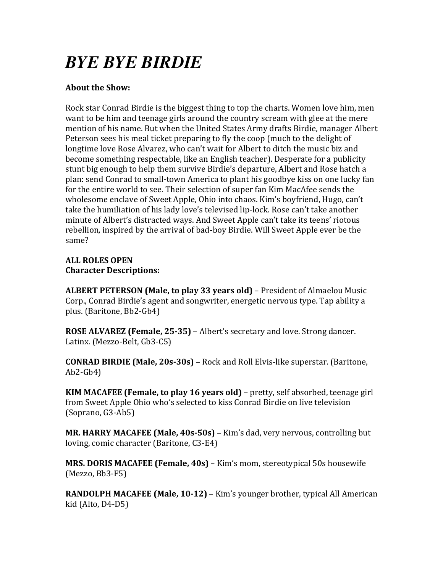## *BYE BYE BIRDIE*

#### **About the Show:**

Rock star Conrad Birdie is the biggest thing to top the charts. Women love him, men want to be him and teenage girls around the country scream with glee at the mere mention of his name. But when the United States Army drafts Birdie, manager Albert Peterson sees his meal ticket preparing to fly the coop (much to the delight of longtime love Rose Alvarez, who can't wait for Albert to ditch the music biz and become something respectable, like an English teacher). Desperate for a publicity stunt big enough to help them survive Birdie's departure, Albert and Rose hatch a plan: send Conrad to small-town America to plant his goodbye kiss on one lucky fan for the entire world to see. Their selection of super fan Kim MacAfee sends the wholesome enclave of Sweet Apple, Ohio into chaos. Kim's boyfriend, Hugo, can't take the humiliation of his lady love's televised lip-lock. Rose can't take another minute of Albert's distracted ways. And Sweet Apple can't take its teens' riotous rebellion, inspired by the arrival of bad-boy Birdie. Will Sweet Apple ever be the same?

#### **ALL ROLES OPEN Character Descriptions:**

**ALBERT PETERSON (Male, to play 33 years old)** – President of Almaelou Music Corp., Conrad Birdie's agent and songwriter, energetic nervous type. Tap ability a plus. (Baritone, Bb2-Gb4)

**ROSE ALVAREZ (Female, 25-35)** – Albert's secretary and love. Strong dancer. Latinx. (Mezzo-Belt, Gb3-C5)

**CONRAD BIRDIE (Male, 20s-30s)** – Rock and Roll Elvis-like superstar. (Baritone, Ab2-Gb4)

**KIM MACAFEE** (Female, to play 16 years old) – pretty, self absorbed, teenage girl from Sweet Apple Ohio who's selected to kiss Conrad Birdie on live television (Soprano, G3-Ab5)

**MR. HARRY MACAFEE (Male, 40s-50s)** – Kim's dad, very nervous, controlling but loving, comic character (Baritone, C3-E4)

**MRS. DORIS MACAFEE (Female, 40s)** – Kim's mom, stereotypical 50s housewife  $(Mezzo, Bb3-F5)$ 

**RANDOLPH MACAFEE (Male, 10-12)** – Kim's younger brother, typical All American kid (Alto,  $D4-D5$ )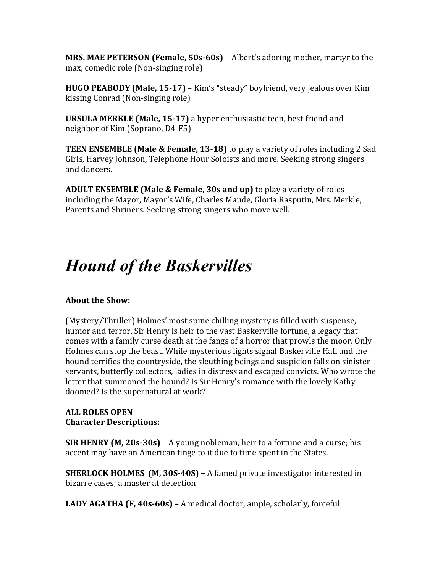**MRS. MAE PETERSON (Female, 50s-60s)** – Albert's adoring mother, martyr to the max, comedic role (Non-singing role)

**HUGO PEABODY (Male, 15-17)** – Kim's "steady" boyfriend, very jealous over Kim kissing Conrad (Non-singing role)

**URSULA MERKLE (Male, 15-17)** a hyper enthusiastic teen, best friend and neighbor of Kim (Soprano, D4-F5)

**TEEN ENSEMBLE (Male & Female, 13-18)** to play a variety of roles including 2 Sad Girls, Harvey Johnson, Telephone Hour Soloists and more. Seeking strong singers and dancers.

**ADULT ENSEMBLE (Male & Female, 30s and up)** to play a variety of roles including the Mayor, Mayor's Wife, Charles Maude, Gloria Rasputin, Mrs. Merkle, Parents and Shriners. Seeking strong singers who move well.

### *Hound of the Baskervilles*

#### **About the Show:**

(Mystery/Thriller) Holmes' most spine chilling mystery is filled with suspense, humor and terror. Sir Henry is heir to the vast Baskerville fortune, a legacy that comes with a family curse death at the fangs of a horror that prowls the moor. Only Holmes can stop the beast. While mysterious lights signal Baskerville Hall and the hound terrifies the countryside, the sleuthing beings and suspicion falls on sinister servants, butterfly collectors, ladies in distress and escaped convicts. Who wrote the letter that summoned the hound? Is Sir Henry's romance with the lovely Kathy doomed? Is the supernatural at work?

#### **ALL ROLES OPEN Character Descriptions:**

**SIR HENRY (M, 20s-30s)** – A young nobleman, heir to a fortune and a curse; his accent may have an American tinge to it due to time spent in the States.

**SHERLOCK HOLMES** (M, 30S-40S) – A famed private investigator interested in bizarre cases; a master at detection

**LADY AGATHA (F, 40s-60s)** – A medical doctor, ample, scholarly, forceful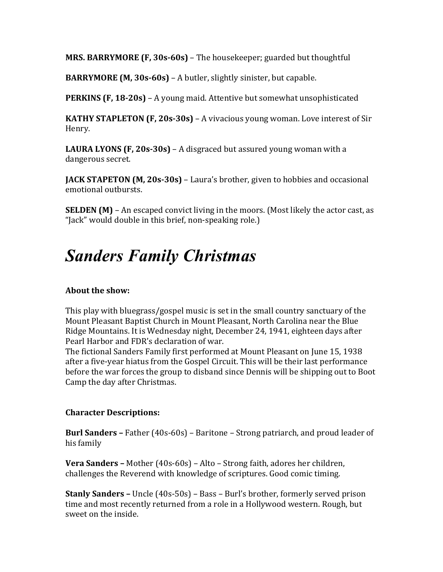**MRS. BARRYMORE (F, 30s-60s)** – The housekeeper; guarded but thoughtful

**BARRYMORE** (M, 30s-60s) – A butler, slightly sinister, but capable.

**PERKINS (F, 18-20s)** – A young maid. Attentive but somewhat unsophisticated

**KATHY STAPLETON (F, 20s-30s)** – A vivacious young woman. Love interest of Sir Henry.

**LAURA LYONS (F, 20s-30s)** – A disgraced but assured young woman with a dangerous secret.

**JACK STAPETON (M, 20s-30s)** – Laura's brother, given to hobbies and occasional emotional outbursts.

**SELDEN** (M) – An escaped convict living in the moors. (Most likely the actor cast, as "Jack" would double in this brief, non-speaking role.)

### *Sanders Family Christmas*

#### **About the show:**

This play with bluegrass/gospel music is set in the small country sanctuary of the Mount Pleasant Baptist Church in Mount Pleasant, North Carolina near the Blue Ridge Mountains. It is Wednesday night, December 24, 1941, eighteen days after Pearl Harbor and FDR's declaration of war.

The fictional Sanders Family first performed at Mount Pleasant on June 15, 1938 after a five-year hiatus from the Gospel Circuit. This will be their last performance before the war forces the group to disband since Dennis will be shipping out to Boot Camp the day after Christmas.

#### **Character Descriptions:**

**Burl Sanders** – Father (40s-60s) – Baritone – Strong patriarch, and proud leader of his family

**Vera Sanders** – Mother (40s-60s) – Alto – Strong faith, adores her children, challenges the Reverend with knowledge of scriptures. Good comic timing.

**Stanly Sanders** – Uncle (40s-50s) – Bass – Burl's brother, formerly served prison time and most recently returned from a role in a Hollywood western. Rough, but sweet on the inside.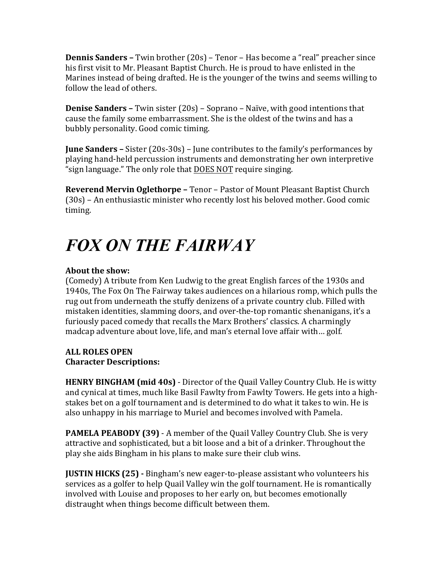**Dennis Sanders** – Twin brother (20s) – Tenor – Has become a "real" preacher since his first visit to Mr. Pleasant Baptist Church. He is proud to have enlisted in the Marines instead of being drafted. He is the younger of the twins and seems willing to follow the lead of others.

**Denise Sanders –** Twin sister (20s) – Soprano – Naïve, with good intentions that cause the family some embarrassment. She is the oldest of the twins and has a bubbly personality. Good comic timing.

**June Sanders** – Sister (20s-30s) – June contributes to the family's performances by playing hand-held percussion instruments and demonstrating her own interpretive "sign language." The only role that DOES NOT require singing.

**Reverend Mervin Oglethorpe - Tenor - Pastor of Mount Pleasant Baptist Church** (30s) – An enthusiastic minister who recently lost his beloved mother. Good comic timing.

# *FOX ON THE FAIRWAY*

#### **About the show:**

(Comedy) A tribute from Ken Ludwig to the great English farces of the 1930s and 1940s, The Fox On The Fairway takes audiences on a hilarious romp, which pulls the rug out from underneath the stuffy denizens of a private country club. Filled with mistaken identities, slamming doors, and over-the-top romantic shenanigans, it's a furiously paced comedy that recalls the Marx Brothers' classics. A charmingly madcap adventure about love, life, and man's eternal love affair with... golf.

#### **ALL ROLES OPEN Character Descriptions:**

**HENRY BINGHAM (mid 40s)** - Director of the Quail Valley Country Club. He is witty and cynical at times, much like Basil Fawlty from Fawlty Towers. He gets into a highstakes bet on a golf tournament and is determined to do what it takes to win. He is also unhappy in his marriage to Muriel and becomes involved with Pamela.

**PAMELA PEABODY (39)** - A member of the Quail Valley Country Club. She is very attractive and sophisticated, but a bit loose and a bit of a drinker. Throughout the play she aids Bingham in his plans to make sure their club wins.

**JUSTIN HICKS (25) -** Bingham's new eager-to-please assistant who volunteers his services as a golfer to help Quail Valley win the golf tournament. He is romantically involved with Louise and proposes to her early on, but becomes emotionally distraught when things become difficult between them.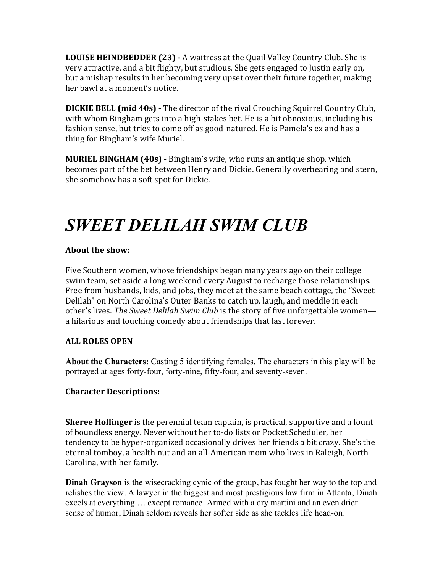**LOUISE HEINDBEDDER (23) - A** waitress at the Quail Valley Country Club. She is very attractive, and a bit flighty, but studious. She gets engaged to Justin early on, but a mishap results in her becoming very upset over their future together, making her hawl at a moment's notice.

**DICKIE BELL (mid 40s) -** The director of the rival Crouching Squirrel Country Club, with whom Bingham gets into a high-stakes bet. He is a bit obnoxious, including his fashion sense, but tries to come off as good-natured. He is Pamela's ex and has a thing for Bingham's wife Muriel.

**MURIEL BINGHAM (40s) -** Bingham's wife, who runs an antique shop, which becomes part of the bet between Henry and Dickie. Generally overbearing and stern, she somehow has a soft spot for Dickie.

## *SWEET DELILAH SWIM CLUB*

#### **About the show:**

Five Southern women, whose friendships began many years ago on their college swim team, set aside a long weekend every August to recharge those relationships. Free from husbands, kids, and jobs, they meet at the same beach cottage, the "Sweet" Delilah" on North Carolina's Outer Banks to catch up, laugh, and meddle in each other's lives. The Sweet Delilah Swim Club is the story of five unforgettable women a hilarious and touching comedy about friendships that last forever.

#### **ALL ROLES OPEN**

**About the Characters:** Casting 5 identifying females. The characters in this play will be portrayed at ages forty-four, forty-nine, fifty-four, and seventy-seven.

#### **Character Descriptions:**

**Sheree Hollinger** is the perennial team captain, is practical, supportive and a fount of boundless energy. Never without her to-do lists or Pocket Scheduler, her tendency to be hyper-organized occasionally drives her friends a bit crazy. She's the eternal tomboy, a health nut and an all-American mom who lives in Raleigh, North Carolina, with her family.

**Dinah Grayson** is the wisecracking cynic of the group, has fought her way to the top and relishes the view. A lawyer in the biggest and most prestigious law firm in Atlanta, Dinah excels at everything … except romance. Armed with a dry martini and an even drier sense of humor, Dinah seldom reveals her softer side as she tackles life head-on.